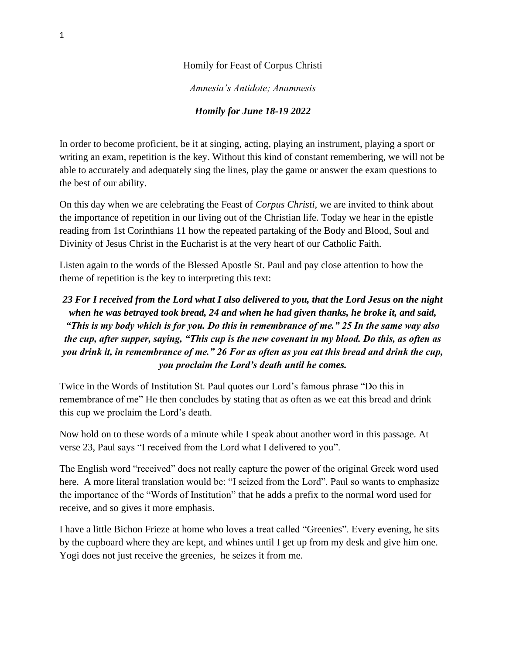## Homily for Feast of Corpus Christi

*Amnesia's Antidote; Anamnesis* 

## *Homily for June 18-19 2022*

In order to become proficient, be it at singing, acting, playing an instrument, playing a sport or writing an exam, repetition is the key. Without this kind of constant remembering, we will not be able to accurately and adequately sing the lines, play the game or answer the exam questions to the best of our ability.

On this day when we are celebrating the Feast of *Corpus Christi*, we are invited to think about the importance of repetition in our living out of the Christian life. Today we hear in the epistle reading from 1st Corinthians 11 how the repeated partaking of the Body and Blood, Soul and Divinity of Jesus Christ in the Eucharist is at the very heart of our Catholic Faith.

Listen again to the words of the Blessed Apostle St. Paul and pay close attention to how the theme of repetition is the key to interpreting this text:

## *23 For I received from the Lord what I also delivered to you, that the Lord Jesus on the night when he was betrayed took bread, 24 and when he had given thanks, he broke it, and said, "This is my body which is for you. Do this in remembrance of me." 25 In the same way also the cup, after supper, saying, "This cup is the new covenant in my blood. Do this, as often as you drink it, in remembrance of me." 26 For as often as you eat this bread and drink the cup, you proclaim the Lord's death until he comes.*

Twice in the Words of Institution St. Paul quotes our Lord's famous phrase "Do this in remembrance of me" He then concludes by stating that as often as we eat this bread and drink this cup we proclaim the Lord's death.

Now hold on to these words of a minute while I speak about another word in this passage. At verse 23, Paul says "I received from the Lord what I delivered to you".

The English word "received" does not really capture the power of the original Greek word used here. A more literal translation would be: "I seized from the Lord". Paul so wants to emphasize the importance of the "Words of Institution" that he adds a prefix to the normal word used for receive, and so gives it more emphasis.

I have a little Bichon Frieze at home who loves a treat called "Greenies". Every evening, he sits by the cupboard where they are kept, and whines until I get up from my desk and give him one. Yogi does not just receive the greenies, he seizes it from me.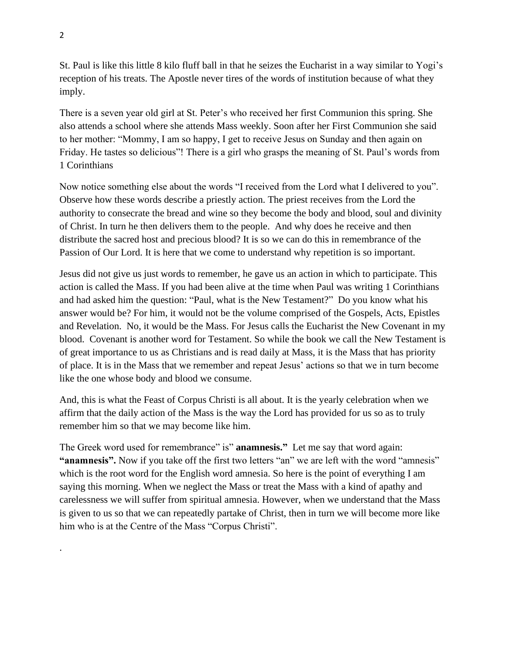St. Paul is like this little 8 kilo fluff ball in that he seizes the Eucharist in a way similar to Yogi's reception of his treats. The Apostle never tires of the words of institution because of what they imply.

There is a seven year old girl at St. Peter's who received her first Communion this spring. She also attends a school where she attends Mass weekly. Soon after her First Communion she said to her mother: "Mommy, I am so happy, I get to receive Jesus on Sunday and then again on Friday. He tastes so delicious"! There is a girl who grasps the meaning of St. Paul's words from 1 Corinthians

Now notice something else about the words "I received from the Lord what I delivered to you". Observe how these words describe a priestly action. The priest receives from the Lord the authority to consecrate the bread and wine so they become the body and blood, soul and divinity of Christ. In turn he then delivers them to the people. And why does he receive and then distribute the sacred host and precious blood? It is so we can do this in remembrance of the Passion of Our Lord. It is here that we come to understand why repetition is so important.

Jesus did not give us just words to remember, he gave us an action in which to participate. This action is called the Mass. If you had been alive at the time when Paul was writing 1 Corinthians and had asked him the question: "Paul, what is the New Testament?" Do you know what his answer would be? For him, it would not be the volume comprised of the Gospels, Acts, Epistles and Revelation. No, it would be the Mass. For Jesus calls the Eucharist the New Covenant in my blood. Covenant is another word for Testament. So while the book we call the New Testament is of great importance to us as Christians and is read daily at Mass, it is the Mass that has priority of place. It is in the Mass that we remember and repeat Jesus' actions so that we in turn become like the one whose body and blood we consume.

And, this is what the Feast of Corpus Christi is all about. It is the yearly celebration when we affirm that the daily action of the Mass is the way the Lord has provided for us so as to truly remember him so that we may become like him.

The Greek word used for remembrance" is" **anamnesis."** Let me say that word again: **"anamnesis".** Now if you take off the first two letters "an" we are left with the word "amnesis" which is the root word for the English word amnesia. So here is the point of everything I am saying this morning. When we neglect the Mass or treat the Mass with a kind of apathy and carelessness we will suffer from spiritual amnesia. However, when we understand that the Mass is given to us so that we can repeatedly partake of Christ, then in turn we will become more like him who is at the Centre of the Mass "Corpus Christi".

.